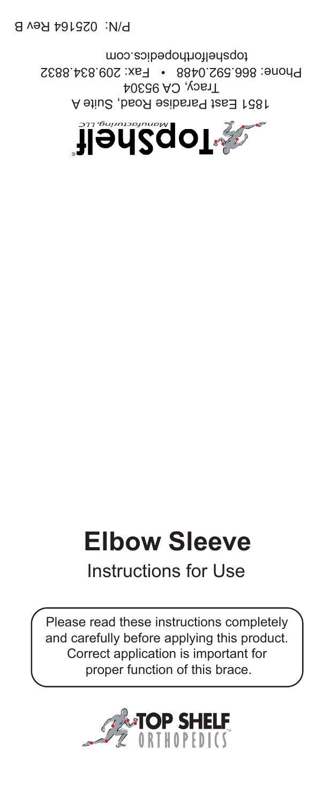

A 1851 East Paradise Road, Suite  $I$  racy, CA 95304 Phone: 866.592.0488 • Fax: 209.834.8832 topshelforthopedics.com

P/N: 025164 Rev B

# **Elbow Sleeve**

### Instructions for Use

Please read these instructions completely and carefully before applying this product. Correct application is important for proper function of this brace.